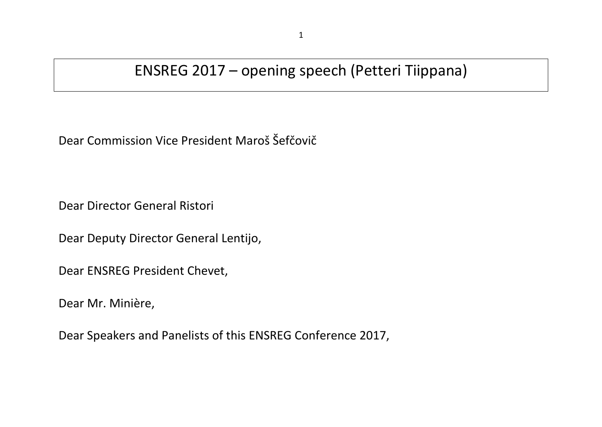## ENSREG 2017 – opening speech (Petteri Tiippana)

Dear Commission Vice President Maroš Šefčovič

Dear Director General Ristori

Dear Deputy Director General Lentijo,

Dear ENSREG President Chevet,

Dear Mr. Minière,

Dear Speakers and Panelists of this ENSREG Conference 2017,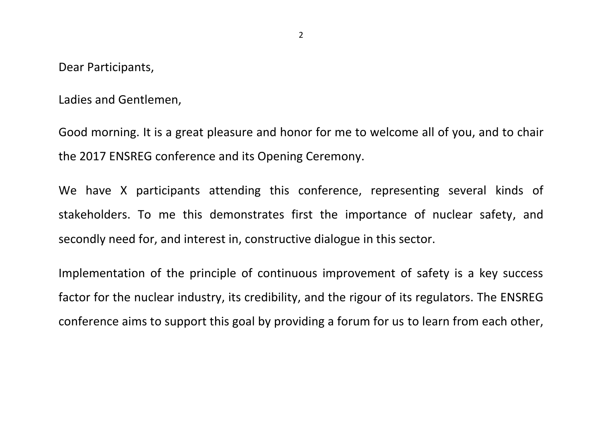Dear Participants,

Ladies and Gentlemen,

Good morning. It is a great pleasure and honor for me to welcome all of you, and to chair the 2017 ENSREG conference and its Opening Ceremony.

We have X participants attending this conference, representing several kinds of stakeholders. To me this demonstrates first the importance of nuclear safety, and secondly need for, and interest in, constructive dialogue in this sector.

Implementation of the principle of continuous improvement of safety is a key success factor for the nuclear industry, its credibility, and the rigour of its regulators. The ENSREG conference aims to support this goal by providing a forum for us to learn from each other,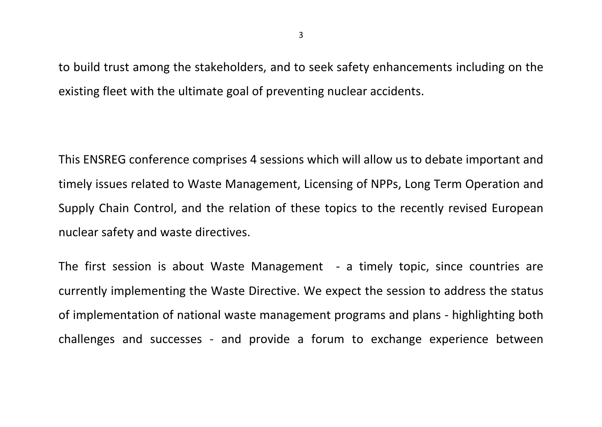to build trust among the stakeholders, and to seek safety enhancements including on the existing fleet with the ultimate goal of preventing nuclear accidents.

This ENSREG conference comprises 4 sessions which will allow us to debate important and timely issues related to Waste Management, Licensing of NPPs, Long Term Operation and Supply Chain Control, and the relation of these topics to the recently revised European nuclear safety and waste directives.

The first session is about Waste Management - a timely topic, since countries are currently implementing the Waste Directive. We expect the session to address the status of implementation of national waste management programs and plans - highlighting both challenges and successes - and provide a forum to exchange experience between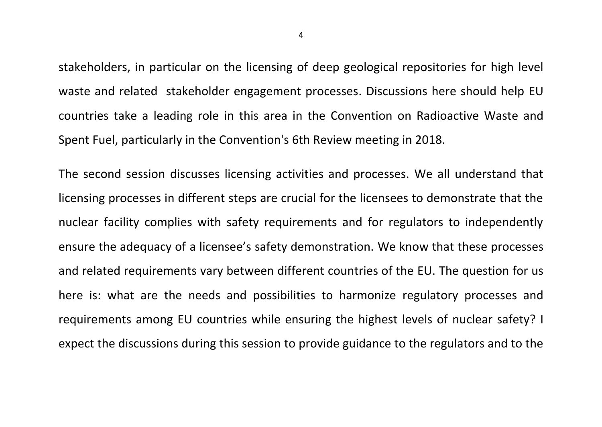stakeholders, in particular on the licensing of deep geological repositories for high level waste and related stakeholder engagement processes. Discussions here should help EU countries take a leading role in this area in the Convention on Radioactive Waste and Spent Fuel, particularly in the Convention's 6th Review meeting in 2018.

The second session discusses licensing activities and processes. We all understand that licensing processes in different steps are crucial for the licensees to demonstrate that the nuclear facility complies with safety requirements and for regulators to independently ensure the adequacy of a licensee's safety demonstration. We know that these processes and related requirements vary between different countries of the EU. The question for us here is: what are the needs and possibilities to harmonize regulatory processes and requirements among EU countries while ensuring the highest levels of nuclear safety? I expect the discussions during this session to provide guidance to the regulators and to the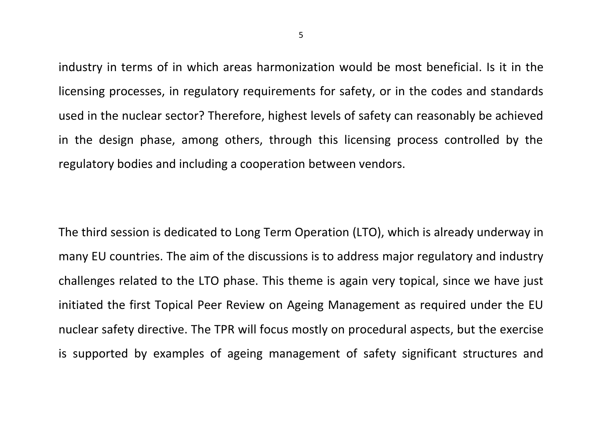industry in terms of in which areas harmonization would be most beneficial. Is it in the licensing processes, in regulatory requirements for safety, or in the codes and standards used in the nuclear sector? Therefore, highest levels of safety can reasonably be achieved in the design phase, among others, through this licensing process controlled by the regulatory bodies and including a cooperation between vendors.

The third session is dedicated to Long Term Operation (LTO), which is already underway in many EU countries. The aim of the discussions is to address major regulatory and industry challenges related to the LTO phase. This theme is again very topical, since we have just initiated the first Topical Peer Review on Ageing Management as required under the EU nuclear safety directive. The TPR will focus mostly on procedural aspects, but the exercise is supported by examples of ageing management of safety significant structures and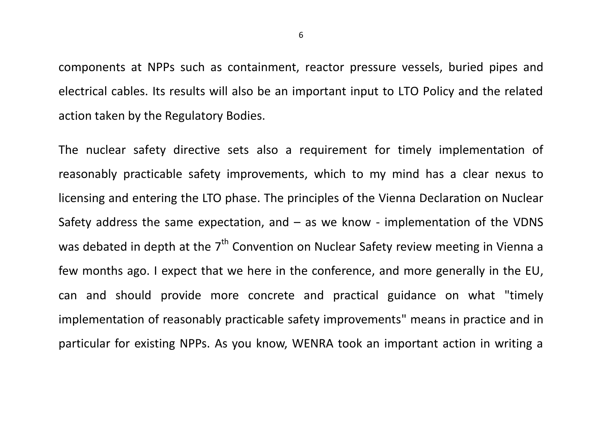components at NPPs such as containment, reactor pressure vessels, buried pipes and electrical cables. Its results will also be an important input to LTO Policy and the related action taken by the Regulatory Bodies.

The nuclear safety directive sets also a requirement for timely implementation of reasonably practicable safety improvements, which to my mind has a clear nexus to licensing and entering the LTO phase. The principles of the Vienna Declaration on Nuclear Safety address the same expectation, and  $-$  as we know - implementation of the VDNS was debated in depth at the  $7<sup>th</sup>$  Convention on Nuclear Safety review meeting in Vienna a few months ago. I expect that we here in the conference, and more generally in the EU, can and should provide more concrete and practical guidance on what "timely implementation of reasonably practicable safety improvements" means in practice and in particular for existing NPPs. As you know, WENRA took an important action in writing a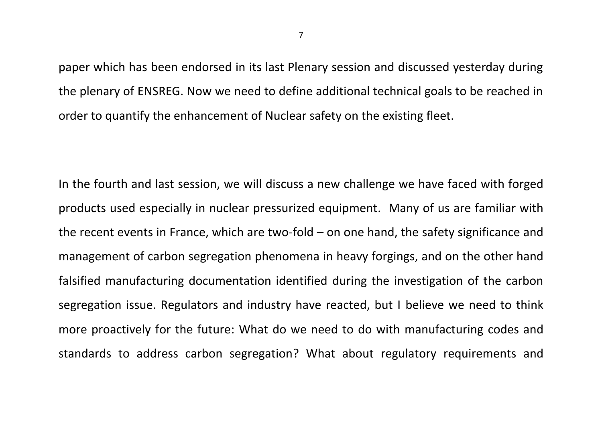paper which has been endorsed in its last Plenary session and discussed yesterday during the plenary of ENSREG. Now we need to define additional technical goals to be reached in order to quantify the enhancement of Nuclear safety on the existing fleet.

In the fourth and last session, we will discuss a new challenge we have faced with forged products used especially in nuclear pressurized equipment. Many of us are familiar with the recent events in France, which are two-fold – on one hand, the safety significance and management of carbon segregation phenomena in heavy forgings, and on the other hand falsified manufacturing documentation identified during the investigation of the carbon segregation issue. Regulators and industry have reacted, but I believe we need to think more proactively for the future: What do we need to do with manufacturing codes and standards to address carbon segregation? What about regulatory requirements and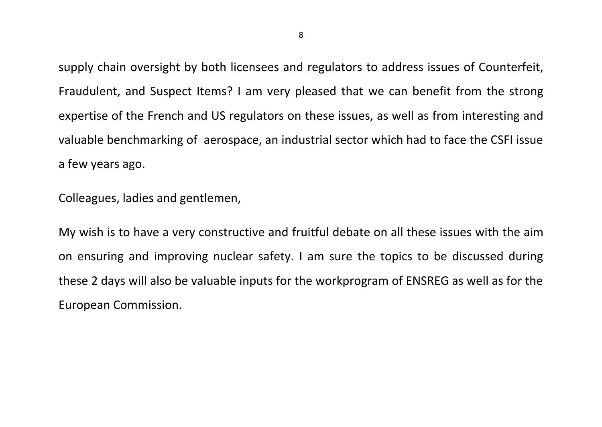supply chain oversight by both licensees and regulators to address issues of Counterfeit, Fraudulent, and Suspect Items? I am very pleased that we can benefit from the strong expertise of the French and US regulators on these issues, as well as from interesting and valuable benchmarking of aerospace, an industrial sector which had to face the CSFI issue a few years ago.

Colleagues, ladies and gentlemen,

My wish is to have a very constructive and fruitful debate on all these issues with the aim on ensuring and improving nuclear safety. I am sure the topics to be discussed during these 2 days will also be valuable inputs for the workprogram of ENSREG as well as for the European Commission.